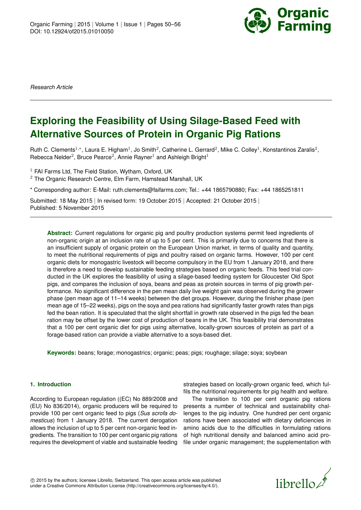

*Research Article*

# **Exploring the Feasibility of Using Silage-Based Feed with Alternative Sources of Protein in Organic Pig Rations**

Ruth C. Clements<sup>1,\*</sup>, Laura E. Higham<sup>1</sup>, Jo Smith<sup>2</sup>, Catherine L. Gerrard<sup>2</sup>, Mike C. Colley<sup>1</sup>, Konstantinos Zaralis<sup>2</sup>, Rebecca Nelder<sup>2</sup>, Bruce Pearce<sup>2</sup>, Annie Rayner<sup>1</sup> and Ashleigh Bright<sup>1</sup>

 $1$  FAI Farms Ltd. The Field Station, Wytham, Oxford, UK  $2$  The Organic Research Centre, Elm Farm, Hamstead Marshall, UK

\* Corresponding author: E-Mail: ruth.clements@faifarms.com; Tel.: +44 1865790880; Fax: +44 1865251811

Submitted: 18 May 2015 | In revised form: 19 October 2015 | Accepted: 21 October 2015 | Published: 5 November 2015

**Abstract:** Current regulations for organic pig and poultry production systems permit feed ingredients of non-organic origin at an inclusion rate of up to 5 per cent. This is primarily due to concerns that there is an insufficient supply of organic protein on the European Union market, in terms of quality and quantity, to meet the nutritional requirements of pigs and poultry raised on organic farms. However, 100 per cent organic diets for monogastric livestock will become compulsory in the EU from 1 January 2018, and there is therefore a need to develop sustainable feeding strategies based on organic feeds. This feed trial conducted in the UK explores the feasibility of using a silage-based feeding system for Gloucester Old Spot pigs, and compares the inclusion of soya, beans and peas as protein sources in terms of pig growth performance. No significant difference in the pen mean daily live weight gain was observed during the grower phase (pen mean age of 11–14 weeks) between the diet groups. However, during the finisher phase (pen mean age of 15–22 weeks), pigs on the soya and pea rations had significantly faster growth rates than pigs fed the bean ration. It is speculated that the slight shortfall in growth rate observed in the pigs fed the bean ration may be offset by the lower cost of production of beans in the UK. This feasibility trial demonstrates that a 100 per cent organic diet for pigs using alternative, locally-grown sources of protein as part of a forage-based ration can provide a viable alternative to a soya-based diet.

**Keywords:** beans; forage; monogastrics; organic; peas; pigs; roughage; silage; soya; soybean

# **1. Introduction**

According to European regulation ((EC) No 889/2008 and (EU) No 836/2014), organic producers will be required to provide 100 per cent organic feed to pigs (*Sus scrofa domesticus*) from 1 January 2018. The current derogation allows the inclusion of up to 5 per cent non-organic feed ingredients. The transition to 100 per cent organic pig rations requires the development of viable and sustainable feeding

strategies based on locally-grown organic feed, which fulfils the nutritional requirements for pig health and welfare.

The transition to 100 per cent organic pig rations presents a number of technical and sustainability challenges to the pig industry. One hundred per cent organic rations have been associated with dietary deficiencies in amino acids due to the difficulties in formulating rations of high nutritional density and balanced amino acid profile under organic management; the supplementation with

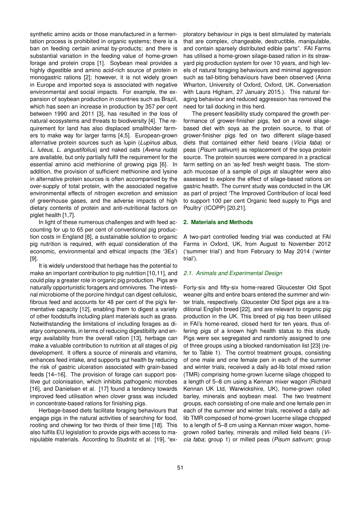synthetic amino acids or those manufactured in a fermentation process is prohibited in organic systems; there is a ban on feeding certain animal by-products; and there is substantial variation in the feeding value of home-grown forage and protein crops [\[1\]](#page-5-0). Soybean meal provides a highly digestible and amino acid-rich source of protein in monogastric rations [\[2\]](#page-5-1); however, it is not widely grown in Europe and imported soya is associated with negative environmental and social impacts. For example, the expansion of soybean production in countries such as Brazil, which has seen an increase in production by 357 per cent between 1990 and 2011 [\[3\]](#page-5-2), has resulted in the loss of natural ecosystems and threats to biodiversity [\[4\]](#page-5-3). The requirement for land has also displaced smallholder farmers to make way for larger farms [\[4,](#page-5-3)[5\]](#page-5-4). European-grown alternative protein sources such as lupin (*Lupinus albus, L. luteus, L. angustifolius*) and naked oats (*Avena nuda*) are available, but only partially fulfil the requirement for the essential amino acid methionine of growing pigs [\[6\]](#page-5-5). In addition, the provision of sufficient methionine and lysine in alternative protein sources is often accompanied by the over-supply of total protein, with the associated negative environmental effects of nitrogen excretion and emission of greenhouse gases, and the adverse impacts of high dietary contents of protein and anti-nutritional factors on piglet health [\[1,](#page-5-0)[7\]](#page-6-1).

In light of these numerous challenges and with feed accounting for up to 65 per cent of conventional pig production costs in England [\[8\]](#page-6-2), a sustainable solution to organic pig nutrition is required, with equal consideration of the economic, environmental and ethical impacts (the '3Es') [\[9\]](#page-6-3).

It is widely understood that herbage has the potential to make an important contribution to pig nutrition [\[10,](#page-6-4)[11\]](#page-6-5), and could play a greater role in organic pig production. Pigs are naturally opportunistic foragers and omnivores. The intestinal microbiome of the porcine hindgut can digest cellulosic, fibrous feed and accounts for 48 per cent of the pig's fermentative capacity [\[12\]](#page-6-6), enabling them to digest a variety of other foodstuffs including plant materials such as grass. Notwithstanding the limitations of including forages as dietary components, in terms of reducing digestibility and energy availability from the overall ration [\[13\]](#page-6-7), herbage can make a valuable contribution to nutrition at all stages of pig development. It offers a source of minerals and vitamins, enhances feed intake, and supports gut health by reducing the risk of gastric ulceration associated with grain-based feeds [\[14–](#page-6-8)[16\]](#page-6-9). The provision of forage can support positive gut colonisation, which inhibits pathogenic microbes [\[16\]](#page-6-9), and Danielsen et al. [\[17\]](#page-6-10) found a tendency towards improved feed utilisation when clover grass was included in concentrate-based rations for finishing pigs.

Herbage-based diets facilitate foraging behaviours that engage pigs in the natural activities of searching for food, rooting and chewing for two thirds of their time [\[18\]](#page-6-11). This also fulfils EU legislation to provide pigs with access to manipulable materials. According to Studnitz et al. [\[19\]](#page-6-12), "exploratory behaviour in pigs is best stimulated by materials that are complex, changeable, destructible, manipulable, and contain sparsely distributed edible parts". FAI Farms has utilised a home-grown silage-based ration in its strawyard pig production system for over 10 years, and high levels of natural foraging behaviours and minimal aggression such as tail-biting behaviours have been observed (Anna Wharton, University of Oxford, Oxford, UK. Conversation with Laura Higham, 27 January 2015.). This natural foraging behaviour and reduced aggression has removed the need for tail docking in this herd.

The present feasibility study compared the growth performance of grower-finisher pigs, fed on a novel silagebased diet with soya as the protein source, to that of grower-finisher pigs fed on two different silage-based diets that contained either field beans (*Vicia faba*) or peas (*Pisum sativum*) as replacement of the soya protein source. The protein sources were compared in a practical farm setting on an 'as-fed' fresh weight basis. The stomach mucosae of a sample of pigs at slaughter were also assessed to explore the effect of silage-based rations on gastric health. The current study was conducted in the UK as part of project 'The Improved Contribution of local feed to support 100 per cent Organic feed supply to Pigs and Poultry' (ICOPP) [\[20,](#page-6-13)[21\]](#page-6-14).

## **2. Materials and Methods**

A two-part controlled feeding trial was conducted at FAI Farms in Oxford, UK, from August to November 2012 ('summer trial') and from February to May 2014 ('winter trial').

#### *2.1. Animals and Experimental Design*

Forty-six and fifty-six home-reared Gloucester Old Spot weaner gilts and entire boars entered the summer and winter trials, respectively. Gloucester Old Spot pigs are a traditional English breed [\[22\]](#page-6-15), and are relevant to organic pig production in the UK. This breed of pig has been utilised in FAI's home-reared, closed herd for ten years, thus offering pigs of a known high health status to this study. Pigs were sex segregated and randomly assigned to one of three groups using a blocked randomisation list [\[23\]](#page-6-16) (refer to Table [1\)](#page-2-0). The control treatment groups, consisting of one male and one female pen in each of the summer and winter trials, received a daily ad-lib total mixed ration (TMR) comprising home-grown lucerne silage chopped to a length of 5–8 cm using a Kennan mixer wagon (Richard Kennan UK Ltd, Warwickshire, UK), home-grown rolled barley, minerals and soybean meal. The two treatment groups, each consisting of one male and one female pen in each of the summer and winter trials, received a daily adlib TMR composed of home-grown lucerne silage chopped to a length of 5–8 cm using a Kennan mixer wagon, homegrown rolled barley, minerals and milled field beans (*Vicia faba*; group 1) or milled peas (*Pisum sativum*; group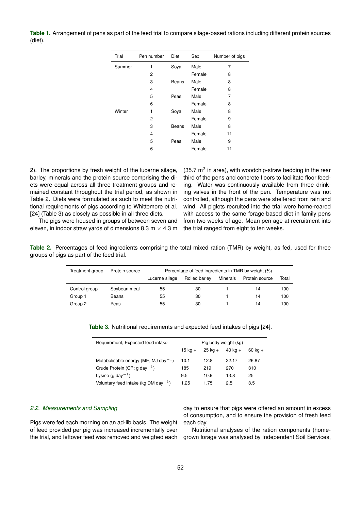<span id="page-2-0"></span>**Table 1.** Arrangement of pens as part of the feed trial to compare silage-based rations including different protein sources (diet).

| Trial  | Pen number | Diet  | Sex    | Number of pigs |
|--------|------------|-------|--------|----------------|
| Summer | 1          | Soya  | Male   | 7              |
|        | 2          |       | Female | 8              |
|        | 3          | Beans | Male   | 8              |
|        | 4          |       | Female | 8              |
|        | 5          | Peas  | Male   | 7              |
|        | 6          |       | Female | 8              |
| Winter | 1          | Soya  | Male   | 8              |
|        | 2          |       | Female | 9              |
|        | 3          | Beans | Male   | 8              |
|        | 4          |       | Female | 11             |
|        | 5          | Peas  | Male   | 9              |
|        | 6          |       | Female | 11             |

2). The proportions by fresh weight of the lucerne silage, barley, minerals and the protein source comprising the diets were equal across all three treatment groups and remained constant throughout the trial period, as shown in Table [2.](#page-2-1) Diets were formulated as such to meet the nutritional requirements of pigs according to Whittemore et al. [\[24\]](#page-6-17) (Table [3\)](#page-2-2) as closely as possible in all three diets.

(35.7  $m^2$  in area), with woodchip-straw bedding in the rear third of the pens and concrete floors to facilitate floor feeding. Water was continuously available from three drinking valves in the front of the pen. Temperature was not controlled, although the pens were sheltered from rain and wind. All piglets recruited into the trial were home-reared with access to the same forage-based diet in family pens from two weeks of age. Mean pen age at recruitment into the trial ranged from eight to ten weeks.

The pigs were housed in groups of between seven and eleven, in indoor straw yards of dimensions 8.3 m  $\times$  4.3 m

<span id="page-2-1"></span>**Table 2.** Percentages of feed ingredients comprising the total mixed ration (TMR) by weight, as fed, used for three groups of pigs as part of the feed trial.

| Treatment group | Protein source | Percentage of feed ingredients in TMR by weight (%) |               |          |                |       |
|-----------------|----------------|-----------------------------------------------------|---------------|----------|----------------|-------|
|                 |                | Lucerne silage                                      | Rolled barley | Minerals | Protein source | Total |
| Control group   | Soybean meal   | 55                                                  | 30            |          | 14             | 100   |
| Group 1         | Beans          | 55                                                  | 30            |          | 14             | 100   |
| Group 2         | Peas           | 55                                                  | 30            |          | 14             | 100   |

| Requirement, Expected feed intake                |             | Pig body weight (kg) |           |                   |
|--------------------------------------------------|-------------|----------------------|-----------|-------------------|
|                                                  | $15$ kg $+$ | $25$ kg $+$          | $40$ kg + | $60 \text{ ka} +$ |
| Metabolisable energy (ME; MJ day <sup>-1</sup> ) | 10.1        | 12.8                 | 22.17     | 26.87             |
| Crude Protein (CP; g day <sup>-1</sup> )         | 185         | 219                  | 270       | 310               |
| Lysine (g day $^{-1}$ )                          | 9.5         | 10.9                 | 13.8      | 25                |
| Voluntary feed intake (kg DM day <sup>-1</sup> ) | 1.25        | 1.75                 | 2.5       | 3.5               |

<span id="page-2-2"></span>**Table 3.** Nutritional requirements and expected feed intakes of pigs [\[24\]](#page-6-17).

# *2.2. Measurements and Sampling*

Pigs were fed each morning on an ad-lib basis. The weight of feed provided per pig was increased incrementally over the trial, and leftover feed was removed and weighed each day to ensure that pigs were offered an amount in excess of consumption, and to ensure the provision of fresh feed each day.

Nutritional analyses of the ration components (homegrown forage was analysed by Independent Soil Services,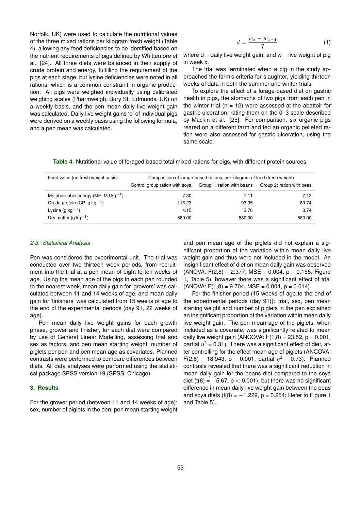Norfolk, UK) were used to calculate the nutritional values of the three mixed rations per kilogram fresh weight (Table [4\)](#page-3-0), allowing any feed deficiencies to be identified based on the nutrient requirements of pigs defined by Whittemore et al. [\[24\]](#page-6-17). All three diets were balanced in their supply of crude protein and energy, fulfilling the requirement of the pigs at each stage, but lysine deficiencies were noted in all rations, which is a common constraint in organic production. All pigs were weighed individually using calibrated weighing scales (Pharmweigh, Bury St. Edmunds, UK) on a weekly basis, and the pen mean daily live weight gain was calculated. Daily live weight gains 'd' of individual pigs were derived on a weekly basis using the following formula, and a pen mean was calculated.

$$
d = \frac{w_x - w_{x-1}}{7} \tag{1}
$$

where  $d =$  daily live weight gain, and  $w =$  live weight of pig in week x.

The trial was terminated when a pig in the study approached the farm's criteria for slaughter, yielding thirteen weeks of data in both the summer and winter trials.

To explore the effect of a forage-based diet on gastric health in pigs, the stomachs of two pigs from each pen in the winter trial ( $n = 12$ ) were assessed at the abattoir for gastric ulceration, rating them on the 0–3 scale described by Mackin et al. [\[25\]](#page-6-18). For comparison, six organic pigs reared on a different farm and fed an organic pelleted ration were also assessed for gastric ulceration, using the same scale.

<span id="page-3-0"></span>

|  |  |  |  | Table 4. Nutritional value of foraged-based total mixed rations for pigs, with different protein sources. |
|--|--|--|--|-----------------------------------------------------------------------------------------------------------|
|--|--|--|--|-----------------------------------------------------------------------------------------------------------|

| Feed value (on fresh weight basis)       | Composition of forage-based rations, per kilogram of feed (fresh weight) |                                                      |        |  |
|------------------------------------------|--------------------------------------------------------------------------|------------------------------------------------------|--------|--|
|                                          | Control group ration with soya                                           | Group 1: ration with beans Group 2: ration with peas |        |  |
| Metabolisable energy (ME; MJ $kg^{-1}$ ) | 7.30                                                                     | 7.11                                                 | 7.12   |  |
| Crude protein (CP; g kg <sup>-1</sup> )  | 116.23                                                                   | 93.35                                                | 89.74  |  |
| Lysine (g $kg^{-1}$ )                    | 4.15                                                                     | 3.76                                                 | 3.74   |  |
| Dry matter (g kg <sup>-1</sup> )         | 580.00                                                                   | 580.00                                               | 580.00 |  |

#### *2.3. Statistical Analysis*

Pen was considered the experimental unit. The trial was conducted over two thirteen week periods, from recruitment into the trial at a pen mean of eight to ten weeks of age. Using the mean age of the pigs in each pen rounded to the nearest week, mean daily gain for 'growers' was calculated between 11 and 14 weeks of age, and mean daily gain for 'finishers' was calculated from 15 weeks of age to the end of the experimental periods (day 91, 22 weeks of age).

Pen mean daily live weight gains for each growth phase, grower and finisher, for each diet were compared by use of General Linear Modelling, assessing trial and sex as factors, and pen mean starting weight, number of piglets per pen and pen mean age as covariates. Planned contrasts were performed to compare differences between diets. All data analyses were performed using the statistical package SPSS version 19 (SPSS, Chicago).

# **3. Results**

For the grower period (between 11 and 14 weeks of age): sex, number of piglets in the pen, pen mean starting weight

and pen mean age of the piglets did not explain a significant proportion of the variation within mean daily live weight gain and thus were not included in the model. An insignificant effect of diet on mean daily gain was observed  $(ANOVA: F(2,8) = 2.377, MSE = 0.004, p = 0.155; Figure$ [1,](#page-4-0) Table [5\)](#page-4-1), however there was a significant effect of trial  $(ANOVA: F(1,8) = 9.704, MSE = 0.004, p = 0.014).$ 

For the finisher period (15 weeks of age to the end of the experimental periods (day 91)): trial, sex, pen mean starting weight and number of piglets in the pen explained an insignificant proportion of the variation within mean daily live weight gain. The pen mean age of the piglets, when included as a covariate, was significantly related to mean daily live weight gain (ANCOVA:  $F(1,8) = 23.52$ ,  $p = 0.001$ , partial  $\eta^2$  = 0.31). There was a significant effect of diet, after controlling for the effect mean age of piglets (ANCOVA: F(2,8) = 18.943, p = 0.001, partial  $\eta^2$  = 0.73). Planned contrasts revealed that there was a significant reduction in mean daily gain for the beans diet compared to the soya diet (t(8) =  $-5.67$ , p < 0.001), but there was no significant difference in mean daily live weight gain between the peas and soya diets  $(t(8) = -1.229, p = 0.254$ ; Refer to Figure [1](#page-4-0) and Table [5\)](#page-4-1).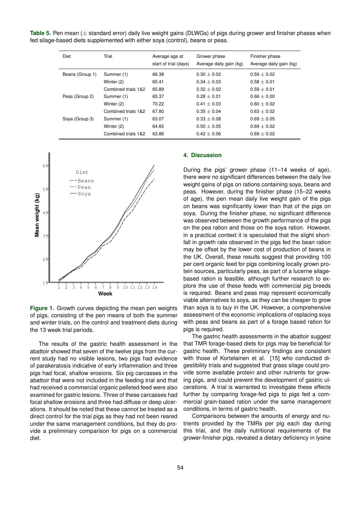<span id="page-4-1"></span>**Table 5.** Pen mean (± standard error) daily live weight gains (DLWGs) of pigs during grower and finisher phases when fed silage-based diets supplemented with either soya (control), beans or peas.

| <b>Diet</b>     | Trial               | Average age at<br>start of trial (days) | Grower phase<br>Average daily gain (kg) | Finisher phase<br>Average daily gain (kg) |
|-----------------|---------------------|-----------------------------------------|-----------------------------------------|-------------------------------------------|
| Beans (Group 1) | Summer (1)          | 66.38                                   | $0.30 + 0.02$                           | $0.59 \pm 0.02$                           |
|                 | Winter (2)          | 65.41                                   | $0.34 \pm 0.03$                         | $0.58 \pm 0.01$                           |
|                 | Combined trials 1&2 | 65.89                                   | $0.32 + 0.02$                           | $0.59 + 0.01$                             |
| Peas (Group 2)  | Summer (1)          | 65.37                                   | $0.28 + 0.01$                           | $0.66 + 0.00$                             |
|                 | Winter (2)          | 70.22                                   | $0.41 + 0.03$                           | $0.60 + 0.02$                             |
|                 | Combined trials 1&2 | 67.80                                   | $0.35 + 0.04$                           | $0.63 \pm 0.02$                           |
| Soya (Group 3)  | Summer (1)          | 63.07                                   | $0.33 + 0.08$                           | $0.69 + 0.05$                             |
|                 | Winter (2)          | 64.65                                   | $0.50 + 0.05$                           | $0.69 \pm 0.02$                           |
|                 | Combined trials 1&2 | 63.86                                   | $0.42 \pm 0.06$                         | $0.69 \pm 0.02$                           |
|                 |                     |                                         |                                         |                                           |



<span id="page-4-0"></span>**Figure 1.** Growth curves depicting the mean pen weights of pigs, consisting of the pen means of both the summer and winter trials, on the control and treatment diets during the 13 week trial periods.

The results of the gastric health assessment in the abattoir showed that seven of the twelve pigs from the current study had no visible lesions, two pigs had evidence of parakeratosis indicative of early inflammation and three pigs had focal, shallow erosions. Six pig carcasses in the abattoir that were not included in the feeding trial and that had received a commercial organic pelleted feed were also examined for gastric lesions. Three of these carcasses had focal shallow erosions and three had diffuse or deep ulcerations. It should be noted that these cannot be treated as a direct control for the trial pigs as they had not been reared under the same management conditions, but they do provide a preliminary comparison for pigs on a commercial diet.

## **4. Discussion**

During the pigs' grower phase (11–14 weeks of age). there were no significant differences between the daily live weight gains of pigs on rations containing soya, beans and peas. However, during the finisher phase (15–22 weeks of age), the pen mean daily live weight gain of the pigs on beans was significantly lower than that of the pigs on soya. During the finisher phase, no significant difference was observed between the growth performance of the pigs on the pea ration and those on the soya ration. However, in a practical context it is speculated that the slight shortfall in growth rate observed in the pigs fed the bean ration may be offset by the lower cost of production of beans in the UK. Overall, these results suggest that providing 100 per cent organic feed for pigs combining locally grown protein sources, particularly peas, as part of a lucerne silagebased ration is feasible, although further research to explore the use of these feeds with commercial pig breeds is required. Beans and peas may represent economically viable alternatives to soya, as they can be cheaper to grow than soya is to buy in the UK. However, a comprehensive assessment of the economic implications of replacing soya with peas and beans as part of a forage based ration for pigs is required.

The gastric health assessments in the abattoir suggest that TMR forage-based diets for pigs may be beneficial for gastric health. These preliminary findings are consistent with those of Kortelainen et al. [\[15\]](#page-6-19) who conducted digestibility trials and suggested that grass silage could provide some available protein and other nutrients for growing pigs, and could prevent the development of gastric ulcerations. A trial is warranted to investigate these effects further by comparing forage-fed pigs to pigs fed a commercial grain-based ration under the same management conditions, in terms of gastric health.

Comparisons between the amounts of energy and nutrients provided by the TMRs per pig each day during this trial, and the daily nutritional requirements of the grower-finisher pigs, revealed a dietary deficiency in lysine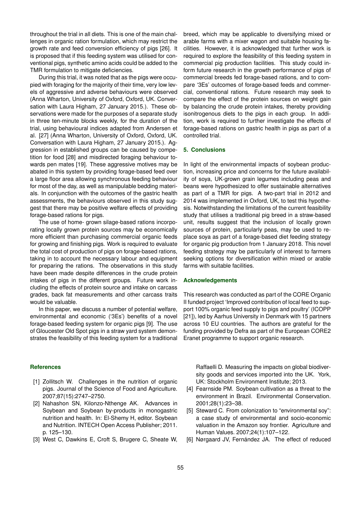throughout the trial in all diets. This is one of the main challenges in organic ration formulation, which may restrict the growth rate and feed conversion efficiency of pigs [\[26\]](#page-6-20). It is proposed that if this feeding system was utilised for conventional pigs, synthetic amino acids could be added to the TMR formulation to mitigate deficiencies.

During this trial, it was noted that as the pigs were occupied with foraging for the majority of their time, very low levels of aggressive and adverse behaviours were observed (Anna Wharton, University of Oxford, Oxford, UK. Conversation with Laura Higham, 27 January 2015.). These observations were made for the purposes of a separate study in three ten-minute blocks weekly, for the duration of the trial, using behavioural indices adapted from Andersen et al. [\[27\]](#page-6-21) (Anna Wharton, University of Oxford, Oxford, UK. Conversation with Laura Higham, 27 January 2015.). Aggression in established groups can be caused by competition for food [\[28\]](#page-6-22) and misdirected foraging behaviour towards pen mates [\[19\]](#page-6-12). These aggressive motives may be abated in this system by providing forage-based feed over a large floor area allowing synchronous feeding behaviour for most of the day, as well as manipulable bedding materials. In conjunction with the outcomes of the gastric health assessments, the behaviours observed in this study suggest that there may be positive welfare effects of providing forage-based rations for pigs.

The use of home- grown silage-based rations incorporating locally grown protein sources may be economically more efficient than purchasing commercial organic feeds for growing and finishing pigs. Work is required to evaluate the total cost of production of pigs on forage-based rations, taking in to account the necessary labour and equipment for preparing the rations. The observations in this study have been made despite differences in the crude protein intakes of pigs in the different groups. Future work including the effects of protein source and intake on carcass grades, back fat measurements and other carcass traits would be valuable.

In this paper, we discuss a number of potential welfare. environmental and economic ('3Es') benefits of a novel forage-based feeding system for organic pigs [\[9\]](#page-6-3). The use of Gloucester Old Spot pigs in a straw yard system demonstrates the feasibility of this feeding system for a traditional

**References**

- <span id="page-5-0"></span>[1] Zollitsch W. Challenges in the nutrition of organic pigs. Journal of the Science of Food and Agriculture. 2007;87(15):2747–2750.
- <span id="page-5-1"></span>[2] Nahashon SN, Kilonzo-Nthenge AK. Advances in Soybean and Soybean by-products in monogastric nutrition and health. In: El-Shemy H, editor. Soybean and Nutrition. INTECH Open Access Publisher; 2011. p. 125–130.
- <span id="page-5-2"></span>[3] West C, Dawkins E, Croft S, Brugere C, Sheate W,

breed, which may be applicable to diversifying mixed or arable farms with a mixer wagon and suitable housing facilities. However, it is acknowledged that further work is required to explore the feasibility of this feeding system in commercial pig production facilities. This study could inform future research in the growth performance of pigs of commercial breeds fed forage-based rations, and to compare '3Es' outcomes of forage-based feeds and commercial, conventional rations. Future research may seek to compare the effect of the protein sources on weight gain by balancing the crude protein intakes, thereby providing isonitrogenous diets to the pigs in each group. In addition, work is required to further investigate the effects of forage-based rations on gastric health in pigs as part of a controlled trial.

### **5. Conclusions**

In light of the environmental impacts of soybean production, increasing price and concerns for the future availability of soya, UK-grown grain legumes including peas and beans were hypothesized to offer sustainable alternatives as part of a TMR for pigs. A two-part trial in 2012 and 2014 was implemented in Oxford, UK, to test this hypothesis. Notwithstanding the limitations of the current feasibility study that utilises a traditional pig breed in a straw-based unit, results suggest that the inclusion of locally grown sources of protein, particularly peas, may be used to replace soya as part of a forage-based diet feeding strategy for organic pig production from 1 January 2018. This novel feeding strategy may be particularly of interest to farmers seeking options for diversification within mixed or arable farms with suitable facilities.

#### **Acknowledgements**

This research was conducted as part of the CORE Organic II funded project 'Improved contribution of local feed to support 100% organic feed supply to pigs and poultry' (ICOPP [\[21\]](#page-6-14)), led by Aarhus University in Denmark with 15 partners across 10 EU countries. The authors are grateful for the funding provided by Defra as part of the European CORE2 Eranet programme to support organic research.

Raffaelli D. Measuring the impacts on global biodiversity goods and services imported into the UK. York, UK: Stockholm Environment Institute; 2013.

- <span id="page-5-3"></span>[4] Fearnside PM. Soybean cultivation as a threat to the environment in Brazil. Environmental Conservation. 2001;28(1):23–38.
- <span id="page-5-4"></span>[5] Steward C. From colonization to "environmental soy": a case study of environmental and socio-economic valuation in the Amazon soy frontier. Agriculture and Human Values. 2007;24(1):107–122.
- <span id="page-5-5"></span>[6] Nørgaard JV, Fernández JA. The effect of reduced